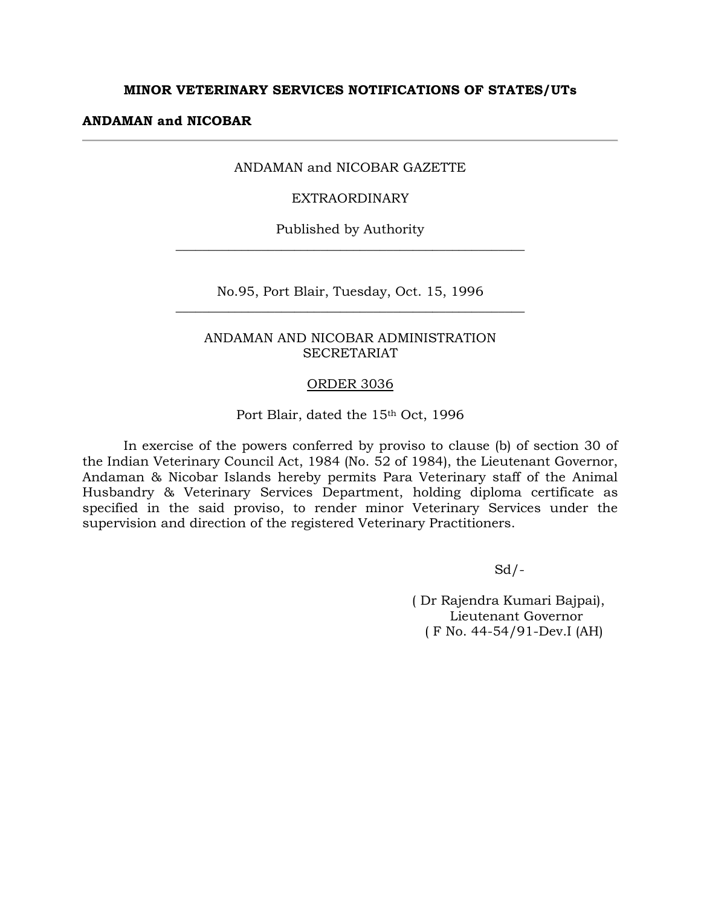#### **MINOR VETERINARY SERVICES NOTIFICATIONS OF STATES/UTs**

#### **ANDAMAN and NICOBAR**

## ANDAMAN and NICOBAR GAZETTE

## EXTRAORDINARY

Published by Authority  $\_$  , and the set of the set of the set of the set of the set of the set of the set of the set of the set of the set of the set of the set of the set of the set of the set of the set of the set of the set of the set of th

No.95, Port Blair, Tuesday, Oct. 15, 1996 **\_\_\_\_\_\_\_\_\_\_\_\_\_\_\_\_\_\_\_\_\_\_\_\_\_\_\_\_\_\_\_\_\_\_\_\_\_\_\_\_\_\_\_\_\_\_\_\_\_\_\_\_\_**

# ANDAMAN AND NICOBAR ADMINISTRATION SECRETARIAT

#### ORDER 3036

Port Blair, dated the 15<sup>th</sup> Oct, 1996

In exercise of the powers conferred by proviso to clause (b) of section 30 of the Indian Veterinary Council Act, 1984 (No. 52 of 1984), the Lieutenant Governor, Andaman & Nicobar Islands hereby permits Para Veterinary staff of the Animal Husbandry & Veterinary Services Department, holding diploma certificate as specified in the said proviso, to render minor Veterinary Services under the supervision and direction of the registered Veterinary Practitioners.

 $Sd/-$ 

( Dr Rajendra Kumari Bajpai), Lieutenant Governor ( F No. 44-54/91-Dev.I (AH)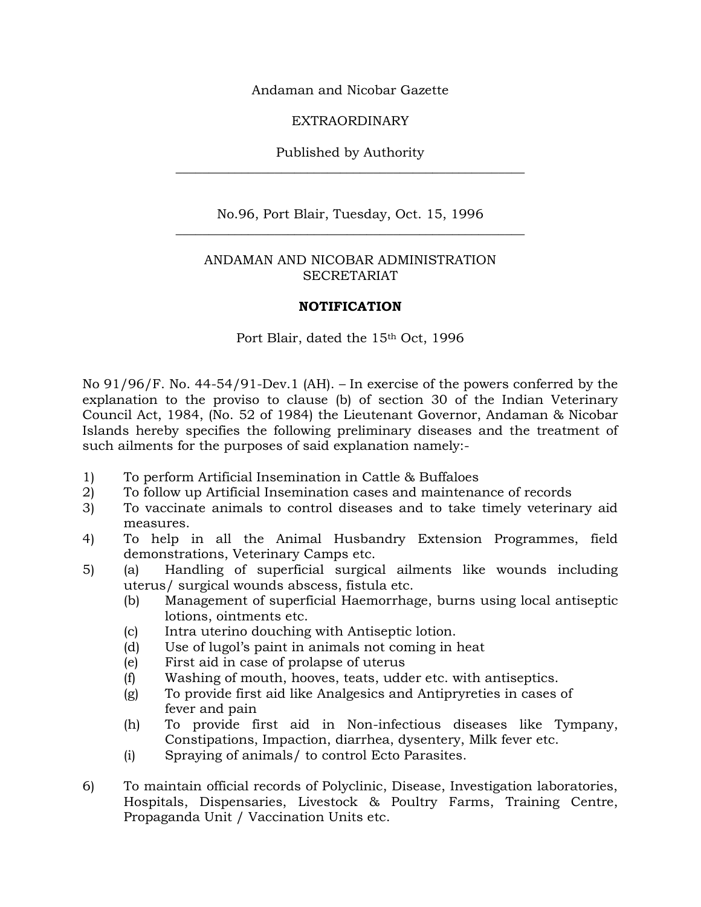Andaman and Nicobar Gazette

# EXTRAORDINARY

# Published by Authority  $\_$  . The contribution of the contribution of  $\mathcal{L}_\mathcal{A}$

No.96, Port Blair, Tuesday, Oct. 15, 1996 \_\_\_\_\_\_\_\_\_\_\_\_\_\_\_\_\_\_\_\_\_\_\_\_\_\_\_\_\_\_\_\_\_\_\_\_\_\_\_\_\_\_\_\_\_\_\_\_\_\_\_\_\_

# ANDAMAN AND NICOBAR ADMINISTRATION **SECRETARIAT**

## **NOTIFICATION**

Port Blair, dated the 15<sup>th</sup> Oct, 1996

No 91/96/F. No. 44-54/91-Dev.1 (AH). – In exercise of the powers conferred by the explanation to the proviso to clause (b) of section 30 of the Indian Veterinary Council Act, 1984, (No. 52 of 1984) the Lieutenant Governor, Andaman & Nicobar Islands hereby specifies the following preliminary diseases and the treatment of such ailments for the purposes of said explanation namely:-

- 1) To perform Artificial Insemination in Cattle & Buffaloes
- 2) To follow up Artificial Insemination cases and maintenance of records
- 3) To vaccinate animals to control diseases and to take timely veterinary aid measures.
- 4) To help in all the Animal Husbandry Extension Programmes, field demonstrations, Veterinary Camps etc.
- 5) (a) Handling of superficial surgical ailments like wounds including uterus/ surgical wounds abscess, fistula etc.
	- (b) Management of superficial Haemorrhage, burns using local antiseptic lotions, ointments etc.
	- (c) Intra uterino douching with Antiseptic lotion.
	- (d) Use of lugol's paint in animals not coming in heat
	- (e) First aid in case of prolapse of uterus
	- (f) Washing of mouth, hooves, teats, udder etc. with antiseptics.
	- (g) To provide first aid like Analgesics and Antipryreties in cases of fever and pain
	- (h) To provide first aid in Non-infectious diseases like Tympany, Constipations, Impaction, diarrhea, dysentery, Milk fever etc.
	- (i) Spraying of animals/ to control Ecto Parasites.
- 6) To maintain official records of Polyclinic, Disease, Investigation laboratories, Hospitals, Dispensaries, Livestock & Poultry Farms, Training Centre, Propaganda Unit / Vaccination Units etc.